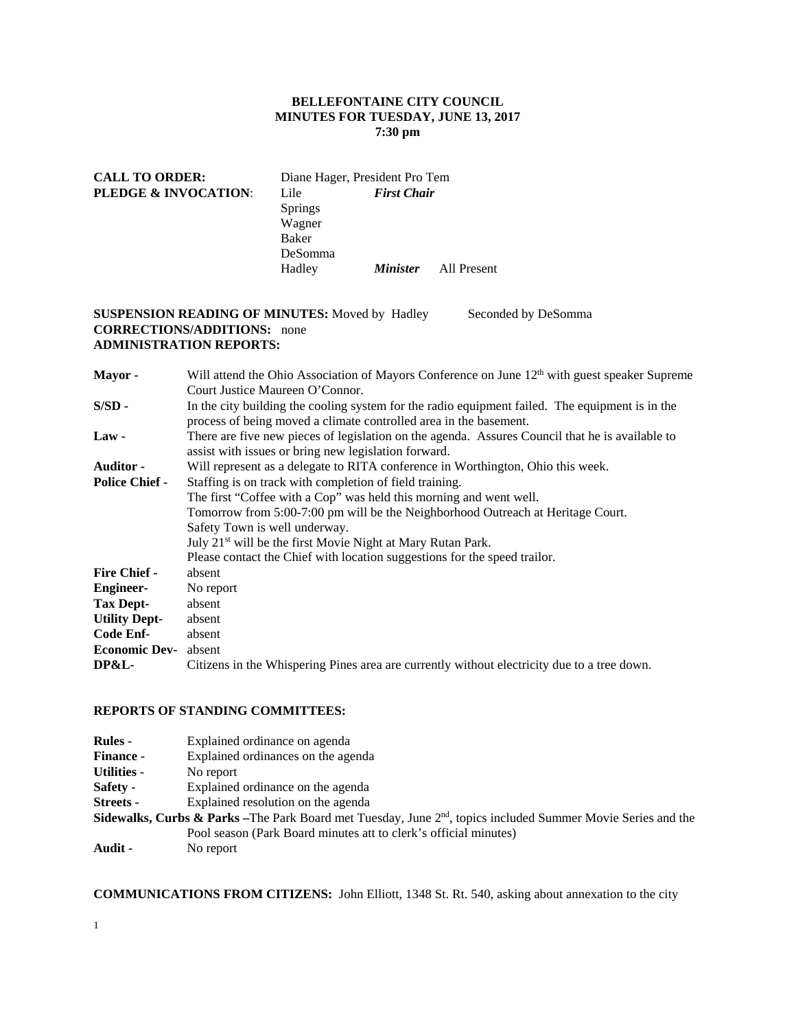## **BELLEFONTAINE CITY COUNCIL MINUTES FOR TUESDAY, JUNE 13, 2017 7:30 pm**

## **CALL TO ORDER:** Diane Hager, President Pro Tem **PLEDGE & INVOCATION**: Lile *First Chair* Springs Wagner Baker DeSomma Hadley *Minister* All Present

## **SUSPENSION READING OF MINUTES:** Moved by Hadley Seconded by DeSomma **CORRECTIONS/ADDITIONS:** none **ADMINISTRATION REPORTS:**

**Mayor -** Will attend the Ohio Association of Mayors Conference on June 12<sup>th</sup> with guest speaker Supreme Court Justice Maureen O'Connor. **S/SD** - In the city building the cooling system for the radio equipment failed. The equipment is in the process of being moved a climate controlled area in the basement. Law - There are five new pieces of legislation on the agenda. Assures Council that he is available to assist with issues or bring new legislation forward. **Auditor -** Will represent as a delegate to RITA conference in Worthington, Ohio this week. **Police Chief -** Staffing is on track with completion of field training. The first "Coffee with a Cop" was held this morning and went well. Tomorrow from 5:00-7:00 pm will be the Neighborhood Outreach at Heritage Court. Safety Town is well underway. July 21st will be the first Movie Night at Mary Rutan Park. Please contact the Chief with location suggestions for the speed trailor. **Fire Chief -** absent **Engineer-** No report **Tax Dept-** absent **Utility Dept-** absent **Code Enf-** absent **Economic Dev-** absent **DP&L-** Citizens in the Whispering Pines area are currently without electricity due to a tree down.

## **REPORTS OF STANDING COMMITTEES:**

| <b>Rules -</b>     | Explained ordinance on agenda                                                                                              |
|--------------------|----------------------------------------------------------------------------------------------------------------------------|
| <b>Finance -</b>   | Explained ordinances on the agenda                                                                                         |
| <b>Utilities -</b> | No report                                                                                                                  |
| <b>Safety -</b>    | Explained ordinance on the agenda                                                                                          |
| <b>Streets -</b>   | Explained resolution on the agenda                                                                                         |
|                    | <b>Sidewalks, Curbs &amp; Parks</b> – The Park Board met Tuesday, June $2nd$ , topics included Summer Movie Series and the |
|                    | Pool season (Park Board minutes att to clerk's official minutes)                                                           |
| Audit -            | No report                                                                                                                  |

**COMMUNICATIONS FROM CITIZENS:** John Elliott, 1348 St. Rt. 540, asking about annexation to the city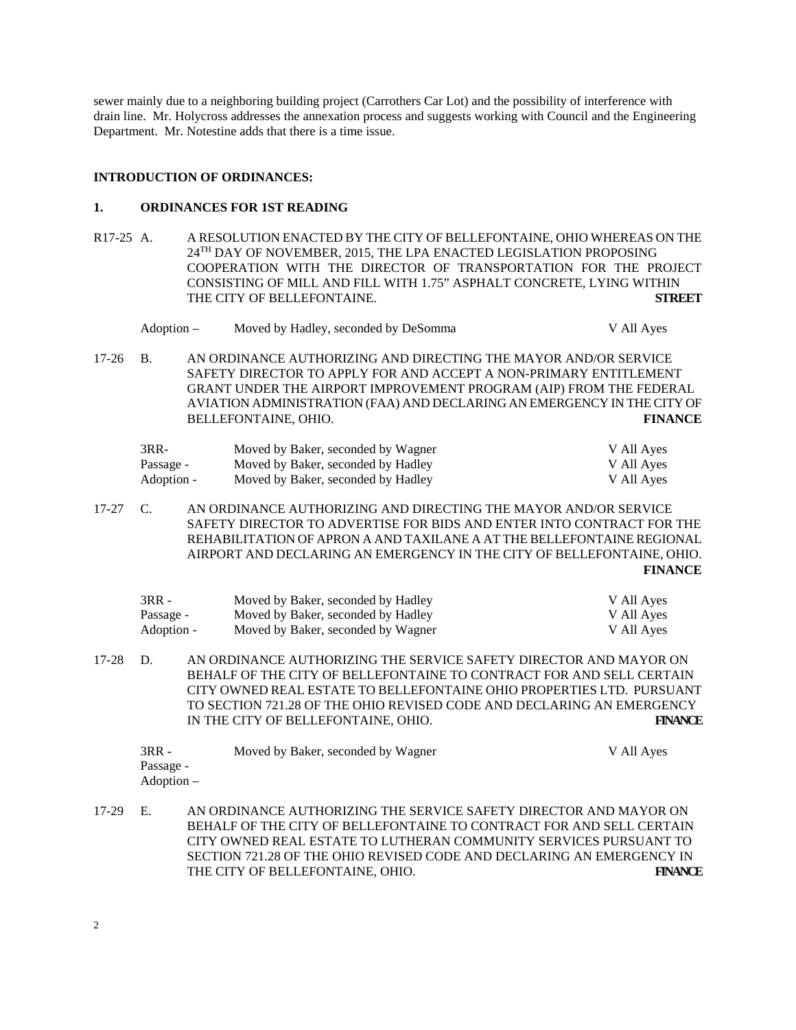sewer mainly due to a neighboring building project (Carrothers Car Lot) and the possibility of interference with drain line. Mr. Holycross addresses the annexation process and suggests working with Council and the Engineering Department. Mr. Notestine adds that there is a time issue.

## **INTRODUCTION OF ORDINANCES:**

## **1. ORDINANCES FOR 1ST READING**

R17-25 A. A RESOLUTION ENACTED BY THE CITY OF BELLEFONTAINE, OHIO WHEREAS ON THE 24TH DAY OF NOVEMBER, 2015, THE LPA ENACTED LEGISLATION PROPOSING COOPERATION WITH THE DIRECTOR OF TRANSPORTATION FOR THE PROJECT CONSISTING OF MILL AND FILL WITH 1.75" ASPHALT CONCRETE, LYING WITHIN THE CITY OF BELLEFONTAINE. **STREET** 

| Adoption – | Moved by Hadley, seconded by DeSomma | V All Aves |
|------------|--------------------------------------|------------|
|------------|--------------------------------------|------------|

17-26 B. AN ORDINANCE AUTHORIZING AND DIRECTING THE MAYOR AND/OR SERVICE SAFETY DIRECTOR TO APPLY FOR AND ACCEPT A NON-PRIMARY ENTITLEMENT GRANT UNDER THE AIRPORT IMPROVEMENT PROGRAM (AIP) FROM THE FEDERAL AVIATION ADMINISTRATION (FAA) AND DECLARING AN EMERGENCY IN THE CITY OF BELLEFONTAINE, OHIO. **FINANCE** 

| $3RR-$     | Moved by Baker, seconded by Wagner | V All Ayes |
|------------|------------------------------------|------------|
| Passage -  | Moved by Baker, seconded by Hadley | V All Ayes |
| Adoption - | Moved by Baker, seconded by Hadley | V All Ayes |

17-27 C. AN ORDINANCE AUTHORIZING AND DIRECTING THE MAYOR AND/OR SERVICE SAFETY DIRECTOR TO ADVERTISE FOR BIDS AND ENTER INTO CONTRACT FOR THE REHABILITATION OF APRON A AND TAXILANE A AT THE BELLEFONTAINE REGIONAL AIRPORT AND DECLARING AN EMERGENCY IN THE CITY OF BELLEFONTAINE, OHIO. **FINANCE** 

| 3RR -      | Moved by Baker, seconded by Hadley | V All Ayes |
|------------|------------------------------------|------------|
| Passage -  | Moved by Baker, seconded by Hadley | V All Ayes |
| Adoption - | Moved by Baker, seconded by Wagner | V All Ayes |

17-28 D. AN ORDINANCE AUTHORIZING THE SERVICE SAFETY DIRECTOR AND MAYOR ON BEHALF OF THE CITY OF BELLEFONTAINE TO CONTRACT FOR AND SELL CERTAIN CITY OWNED REAL ESTATE TO BELLEFONTAINE OHIO PROPERTIES LTD. PURSUANT TO SECTION 721.28 OF THE OHIO REVISED CODE AND DECLARING AN EMERGENCY IN THE CITY OF BELLEFONTAINE, OHIO. **FINANCE** 

| $3RR -$    | Moved by Baker, seconded by Wagner | V All Ayes |
|------------|------------------------------------|------------|
| Passage -  |                                    |            |
| Adoption – |                                    |            |

17-29 E. AN ORDINANCE AUTHORIZING THE SERVICE SAFETY DIRECTOR AND MAYOR ON BEHALF OF THE CITY OF BELLEFONTAINE TO CONTRACT FOR AND SELL CERTAIN CITY OWNED REAL ESTATE TO LUTHERAN COMMUNITY SERVICES PURSUANT TO SECTION 721.28 OF THE OHIO REVISED CODE AND DECLARING AN EMERGENCY IN THE CITY OF BELLEFONTAINE, OHIO. **FINANCE**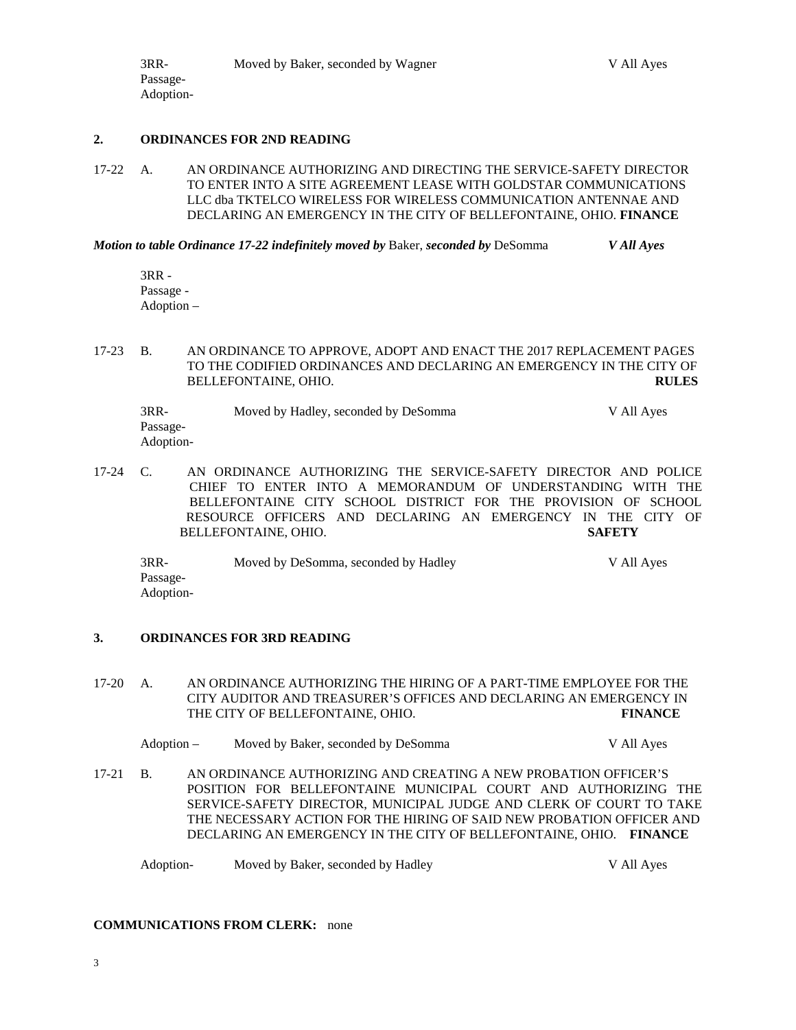#### **2. ORDINANCES FOR 2ND READING**

17-22 A. AN ORDINANCE AUTHORIZING AND DIRECTING THE SERVICE-SAFETY DIRECTOR TO ENTER INTO A SITE AGREEMENT LEASE WITH GOLDSTAR COMMUNICATIONS LLC dba TKTELCO WIRELESS FOR WIRELESS COMMUNICATION ANTENNAE AND DECLARING AN EMERGENCY IN THE CITY OF BELLEFONTAINE, OHIO. **FINANCE** 

*Motion to table Ordinance 17-22 indefinitely moved by* Baker, *seconded by* DeSomma *V All Ayes* 

3RR - Passage - Adoption –

Passage-

17-23 B. AN ORDINANCE TO APPROVE, ADOPT AND ENACT THE 2017 REPLACEMENT PAGES TO THE CODIFIED ORDINANCES AND DECLARING AN EMERGENCY IN THE CITY OF BELLEFONTAINE, OHIO. **RULES** 

| 3RR-      | Moved by Hadley, seconded by DeSomma | V All Ayes |
|-----------|--------------------------------------|------------|
| Passage-  |                                      |            |
| Adoption- |                                      |            |

17-24 C. AN ORDINANCE AUTHORIZING THE SERVICE-SAFETY DIRECTOR AND POLICE CHIEF TO ENTER INTO A MEMORANDUM OF UNDERSTANDING WITH THE BELLEFONTAINE CITY SCHOOL DISTRICT FOR THE PROVISION OF SCHOOL RESOURCE OFFICERS AND DECLARING AN EMERGENCY IN THE CITY OF BELLEFONTAINE, OHIO. **SAFETY**

 3RR- Moved by DeSomma, seconded by Hadley V All Ayes Passage- Adoption-

## **3. ORDINANCES FOR 3RD READING**

17-20 A. AN ORDINANCE AUTHORIZING THE HIRING OF A PART-TIME EMPLOYEE FOR THE CITY AUDITOR AND TREASURER'S OFFICES AND DECLARING AN EMERGENCY IN THE CITY OF BELLEFONTAINE, OHIO. **FINANCE** 

| Adoption – | Moved by Baker, seconded by DeSomma | V All Aves |
|------------|-------------------------------------|------------|
|------------|-------------------------------------|------------|

17-21 B. AN ORDINANCE AUTHORIZING AND CREATING A NEW PROBATION OFFICER'S POSITION FOR BELLEFONTAINE MUNICIPAL COURT AND AUTHORIZING THE SERVICE-SAFETY DIRECTOR, MUNICIPAL JUDGE AND CLERK OF COURT TO TAKE THE NECESSARY ACTION FOR THE HIRING OF SAID NEW PROBATION OFFICER AND DECLARING AN EMERGENCY IN THE CITY OF BELLEFONTAINE, OHIO. **FINANCE** 

Adoption- Moved by Baker, seconded by Hadley V All Ayes

## **COMMUNICATIONS FROM CLERK:** none